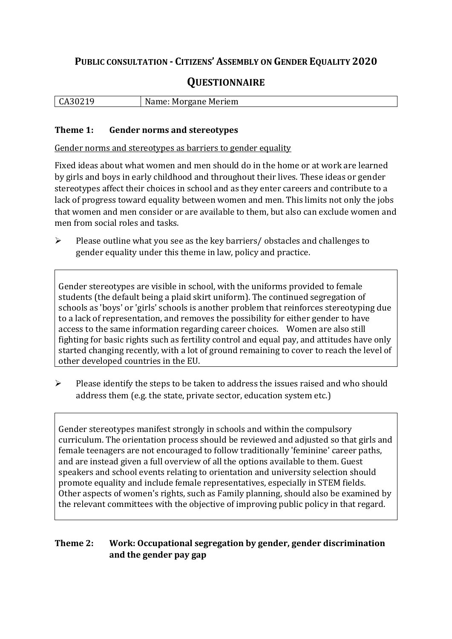# **PUBLIC CONSULTATION - CITIZENS' ASSEMBLY ON GENDER EQUALITY 2020**

# **QUESTIONNAIRE**

|  | CA30219 | Name: Morgane Meriem |
|--|---------|----------------------|
|--|---------|----------------------|

#### **Theme 1: Gender norms and stereotypes**

Gender norms and stereotypes as barriers to gender equality

Fixed ideas about what women and men should do in the home or at work are learned by girls and boys in early childhood and throughout their lives. These ideas or gender stereotypes affect their choices in school and as they enter careers and contribute to a lack of progress toward equality between women and men. This limits not only the jobs that women and men consider or are available to them, but also can exclude women and men from social roles and tasks.

➢ Please outline what you see as the key barriers/ obstacles and challenges to gender equality under this theme in law, policy and practice.

Gender stereotypes are visible in school, with the uniforms provided to female students (the default being a plaid skirt uniform). The continued segregation of schools as 'boys' or 'girls' schools is another problem that reinforces stereotyping due to a lack of representation, and removes the possibility for either gender to have access to the same information regarding career choices. Women are also still fighting for basic rights such as fertility control and equal pay, and attitudes have only started changing recently, with a lot of ground remaining to cover to reach the level of other developed countries in the EU.

➢ Please identify the steps to be taken to address the issues raised and who should address them (e.g. the state, private sector, education system etc.)

Gender stereotypes manifest strongly in schools and within the compulsory curriculum. The orientation process should be reviewed and adjusted so that girls and female teenagers are not encouraged to follow traditionally 'feminine' career paths, and are instead given a full overview of all the options available to them. Guest speakers and school events relating to orientation and university selection should promote equality and include female representatives, especially in STEM fields. Other aspects of women's rights, such as Family planning, should also be examined by the relevant committees with the objective of improving public policy in that regard.

### **Theme 2: Work: Occupational segregation by gender, gender discrimination and the gender pay gap**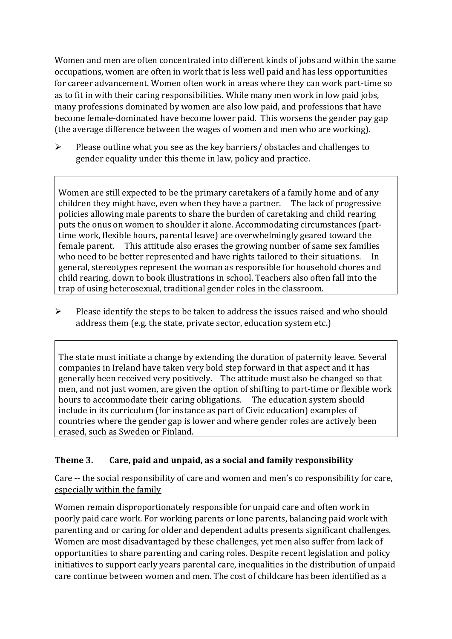Women and men are often concentrated into different kinds of jobs and within the same occupations, women are often in work that is less well paid and has less opportunities for career advancement. Women often work in areas where they can work part-time so as to fit in with their caring responsibilities. While many men work in low paid jobs, many professions dominated by women are also low paid, and professions that have become female-dominated have become lower paid. This worsens the gender pay gap (the average difference between the wages of women and men who are working).

➢ Please outline what you see as the key barriers/ obstacles and challenges to gender equality under this theme in law, policy and practice.

Women are still expected to be the primary caretakers of a family home and of any children they might have, even when they have a partner. The lack of progressive policies allowing male parents to share the burden of caretaking and child rearing puts the onus on women to shoulder it alone. Accommodating circumstances (parttime work, flexible hours, parental leave) are overwhelmingly geared toward the female parent. This attitude also erases the growing number of same sex families who need to be better represented and have rights tailored to their situations. In general, stereotypes represent the woman as responsible for household chores and child rearing, down to book illustrations in school. Teachers also often fall into the trap of using heterosexual, traditional gender roles in the classroom.

➢ Please identify the steps to be taken to address the issues raised and who should address them (e.g. the state, private sector, education system etc.)

The state must initiate a change by extending the duration of paternity leave. Several companies in Ireland have taken very bold step forward in that aspect and it has generally been received very positively. The attitude must also be changed so that men, and not just women, are given the option of shifting to part-time or flexible work hours to accommodate their caring obligations. The education system should include in its curriculum (for instance as part of Civic education) examples of countries where the gender gap is lower and where gender roles are actively been erased, such as Sweden or Finland.

## **Theme 3. Care, paid and unpaid, as a social and family responsibility**

Care -- the social responsibility of care and women and men's co responsibility for care, especially within the family

Women remain disproportionately responsible for unpaid care and often work in poorly paid care work. For working parents or [lone parents,](https://aran.library.nuigalway.ie/bitstream/handle/10379/6044/Millar_and_Crosse_Activation_Report.pdf?sequence=1&isAllowed=y) balancing paid work with parenting and or caring for older and dependent adults presents significant challenges. Women are [most disadvantaged by these challenges,](https://eige.europa.eu/gender-equality-index/game/IE/W) yet men also suffer from lack of opportunities to share parenting and caring roles. Despite recent legislation and policy initiatives to support early years parental care, [inequalities in the distribution of unpaid](https://www.ihrec.ie/app/uploads/2019/07/Caring-and-Unpaid-Work-in-Ireland_Final.pdf)  [care](https://www.ihrec.ie/app/uploads/2019/07/Caring-and-Unpaid-Work-in-Ireland_Final.pdf) continue between women and men. The cost of childcare has been identified as a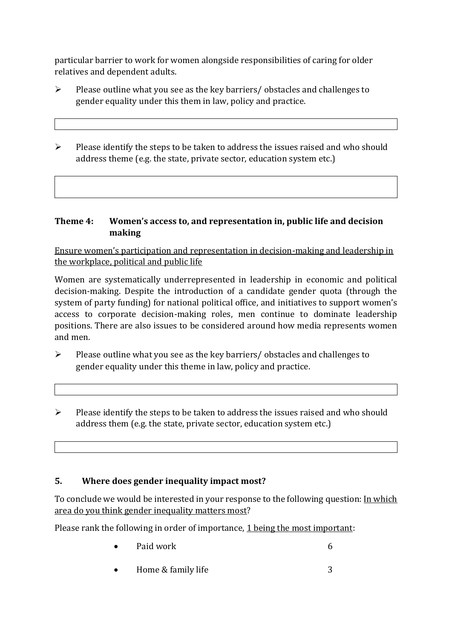particular barrier to work for women alongside responsibilities of caring for older relatives and dependent adults.

- $\triangleright$  Please outline what you see as the key barriers/ obstacles and challenges to gender equality under this them in law, policy and practice.
- ➢ Please identify the steps to be taken to address the issues raised and who should address theme (e.g. the state, private sector, education system etc.)

#### **Theme 4: Women's access to, and representation in, public life and decision making**

Ensure women's participation and representation in decision-making and leadership in the workplace, political and public life

Women are systematically underrepresented in leadership in [economic](https://eige.europa.eu/gender-equality-index/2019/compare-countries/power/2/bar) and [political](https://eige.europa.eu/gender-equality-index/2019/compare-countries/power/1/bar)  [decision-](https://eige.europa.eu/gender-equality-index/2019/compare-countries/power/1/bar)making. Despite the introduction of a candidate gender quota (through the system of party funding) for national political office, and [initiatives](https://betterbalance.ie/) to support women's access to corporate decision-making roles, men continue to dominate leadership positions. There are also issues to be considered around how media represents women and men.

- ➢ Please outline what you see as the key barriers/ obstacles and challenges to gender equality under this theme in law, policy and practice.
- ➢ Please identify the steps to be taken to address the issues raised and who should address them (e.g. the state, private sector, education system etc.)

## **5. Where does gender inequality impact most?**

To conclude we would be interested in your response to the following question: In which area do you think gender inequality matters most?

Please rank the following in order of importance, 1 being the most important:

- Paid work 6
- **For Home & family life** 3